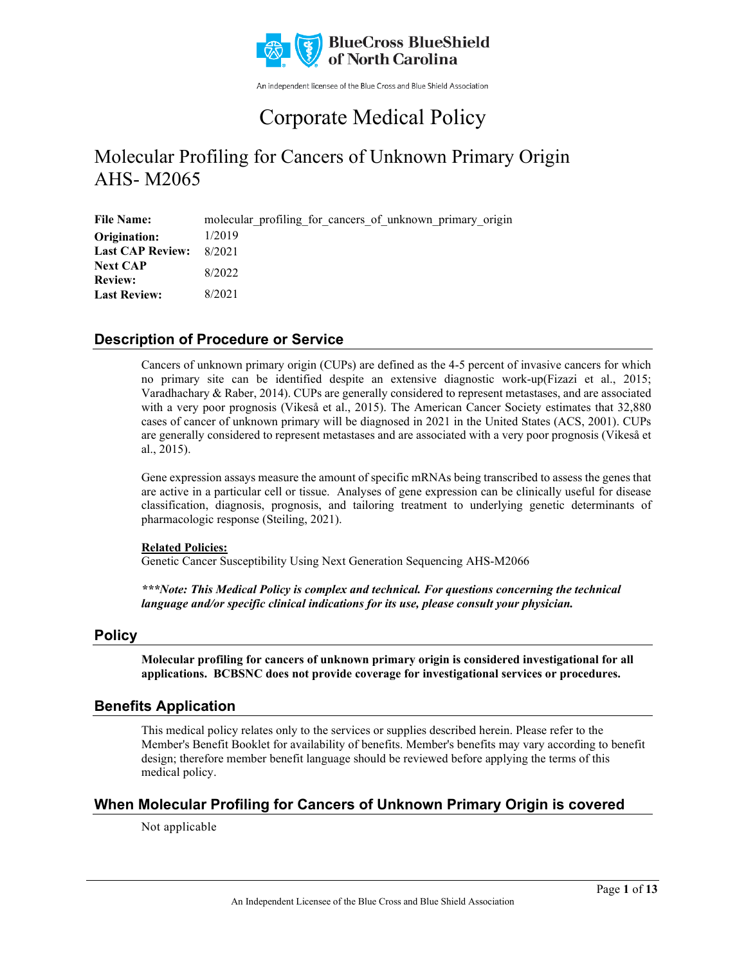

An independent licensee of the Blue Cross and Blue Shield Association

# Corporate Medical Policy

## Molecular Profiling for Cancers of Unknown Primary Origin AHS- M2065

| <b>File Name:</b>       | molecular profiling for cancers of unknown primary origin |
|-------------------------|-----------------------------------------------------------|
| Origination:            | 1/2019                                                    |
| <b>Last CAP Review:</b> | 8/2021                                                    |
| <b>Next CAP</b>         | 8/2022                                                    |
| <b>Review:</b>          |                                                           |
| <b>Last Review:</b>     | 8/2021                                                    |

### **Description of Procedure or Service**

Cancers of unknown primary origin (CUPs) are defined as the 4-5 percent of invasive cancers for which no primary site can be identified despite an extensive diagnostic work-up(Fizazi et al., 2015; Varadhachary & Raber, 2014). CUPs are generally considered to represent metastases, and are associated with a very poor prognosis (Vikeså et al., 2015). The American Cancer Society estimates that 32,880 cases of cancer of unknown primary will be diagnosed in 2021 in the United States (ACS, 2001). CUPs are generally considered to represent metastases and are associated with a very poor prognosis (Vikeså et al., 2015).

Gene expression assays measure the amount of specific mRNAs being transcribed to assess the genes that are active in a particular cell or tissue. Analyses of gene expression can be clinically useful for disease classification, diagnosis, prognosis, and tailoring treatment to underlying genetic determinants of pharmacologic response (Steiling, 2021).

#### **Related Policies:**

Genetic Cancer Susceptibility Using Next Generation Sequencing AHS-M2066

*\*\*\*Note: This Medical Policy is complex and technical. For questions concerning the technical language and/or specific clinical indications for its use, please consult your physician.*

### **Policy**

**Molecular profiling for cancers of unknown primary origin is considered investigational for all applications. BCBSNC does not provide coverage for investigational services or procedures.**

### **Benefits Application**

This medical policy relates only to the services or supplies described herein. Please refer to the Member's Benefit Booklet for availability of benefits. Member's benefits may vary according to benefit design; therefore member benefit language should be reviewed before applying the terms of this medical policy.

### **When Molecular Profiling for Cancers of Unknown Primary Origin is covered**

Not applicable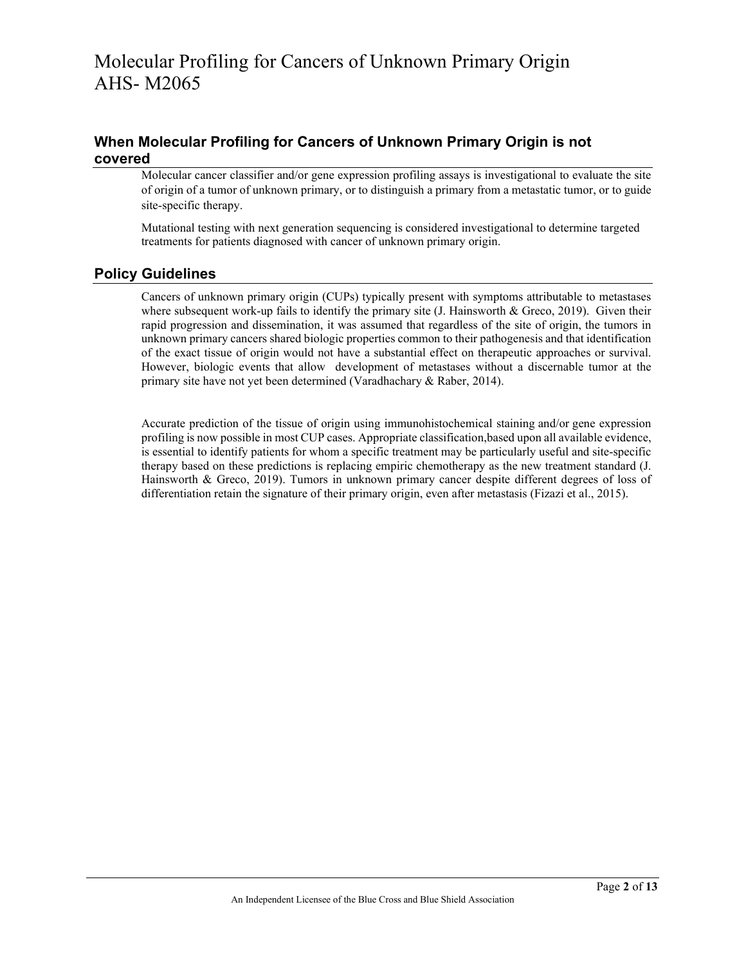### **When Molecular Profiling for Cancers of Unknown Primary Origin is not covered**

Molecular cancer classifier and/or gene expression profiling assays is investigational to evaluate the site of origin of a tumor of unknown primary, or to distinguish a primary from a metastatic tumor, or to guide site-specific therapy.

Mutational testing with next generation sequencing is considered investigational to determine targeted treatments for patients diagnosed with cancer of unknown primary origin.

### **Policy Guidelines**

Cancers of unknown primary origin (CUPs) typically present with symptoms attributable to metastases where subsequent work-up fails to identify the primary site  $(J.$  Hainsworth  $\&$  Greco, 2019). Given their rapid progression and dissemination, it was assumed that regardless of the site of origin, the tumors in unknown primary cancers shared biologic properties common to their pathogenesis and that identification of the exact tissue of origin would not have a substantial effect on therapeutic approaches or survival. However, biologic events that allow development of metastases without a discernable tumor at the primary site have not yet been determined (Varadhachary & Raber, 2014).

Accurate prediction of the tissue of origin using immunohistochemical staining and/or gene expression profiling is now possible in most CUP cases. Appropriate classification,based upon all available evidence, is essential to identify patients for whom a specific treatment may be particularly useful and site-specific therapy based on these predictions is replacing empiric chemotherapy as the new treatment standard (J. Hainsworth & Greco, 2019). Tumors in unknown primary cancer despite different degrees of loss of differentiation retain the signature of their primary origin, even after metastasis (Fizazi et al., 2015).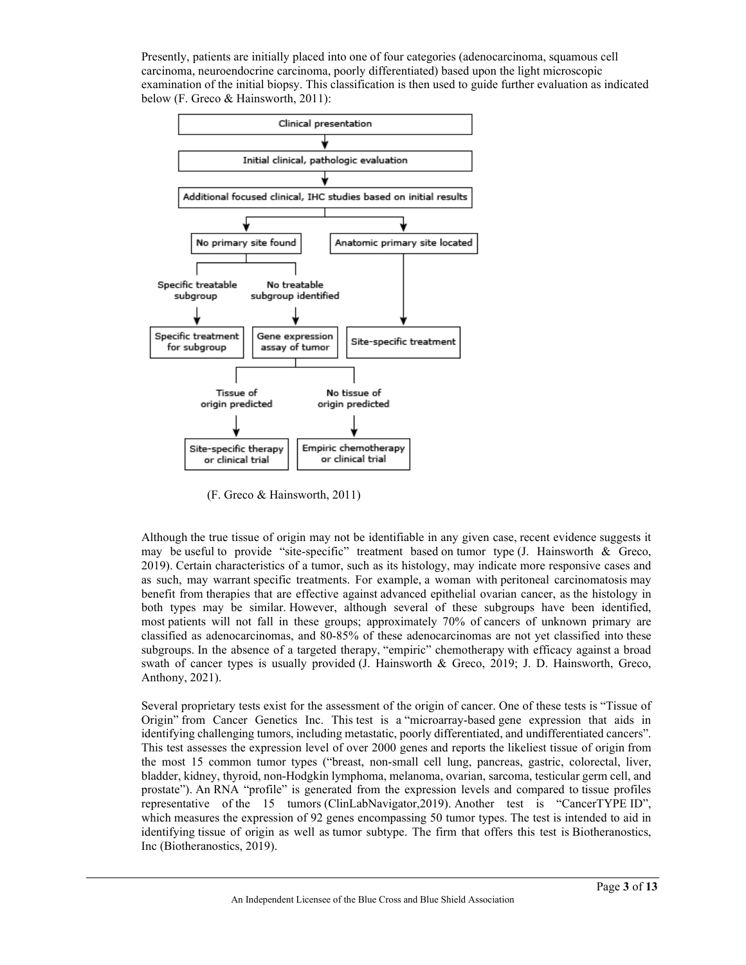Presently, patients are initially placed into one of four categories (adenocarcinoma, squamous cell carcinoma, neuroendocrine carcinoma, poorly differentiated) based upon the light microscopic examination of the initial biopsy. This classification is then used to guide further evaluation as indicated below (F. Greco & Hainsworth, 2011):



(F. Greco & Hainsworth, 2011)

Although the true tissue of origin may not be identifiable in any given case, recent evidence suggests it may be useful to provide "site-specific" treatment based on tumor type (J. Hainsworth & Greco, 2019). Certain characteristics of a tumor, such as its histology, may indicate more responsive cases and as such, may warrant specific treatments. For example, a woman with peritoneal carcinomatosis may benefit from therapies that are effective against advanced epithelial ovarian cancer, as the histology in both types may be similar. However, although several of these subgroups have been identified, most patients will not fall in these groups; approximately 70% of cancers of unknown primary are classified as adenocarcinomas, and 80-85% of these adenocarcinomas are not yet classified into these subgroups. In the absence of a targeted therapy, "empiric" chemotherapy with efficacy against a broad swath of cancer types is usually provided (J. Hainsworth & Greco, 2019; J. D. Hainsworth, Greco, Anthony, 2021).

Several proprietary tests exist for the assessment of the origin of cancer. One of these tests is "Tissue of Origin" from Cancer Genetics Inc. This test is a "microarray-based gene expression that aids in identifying challenging tumors, including metastatic, poorly differentiated, and undifferentiated cancers". This test assesses the expression level of over 2000 genes and reports the likeliest tissue of origin from the most 15 common tumor types ("breast, non-small cell lung, pancreas, gastric, colorectal, liver, bladder, kidney, thyroid, non-Hodgkin lymphoma, melanoma, ovarian, sarcoma, testicular germ cell, and prostate"). An RNA "profile" is generated from the expression levels and compared to tissue profiles representative of the 15 tumors (ClinLabNavigator,2019). Another test is "CancerTYPE ID", which measures the expression of 92 genes encompassing 50 tumor types. The test is intended to aid in identifying tissue of origin as well as tumor subtype. The firm that offers this test is Biotheranostics, Inc (Biotheranostics, 2019).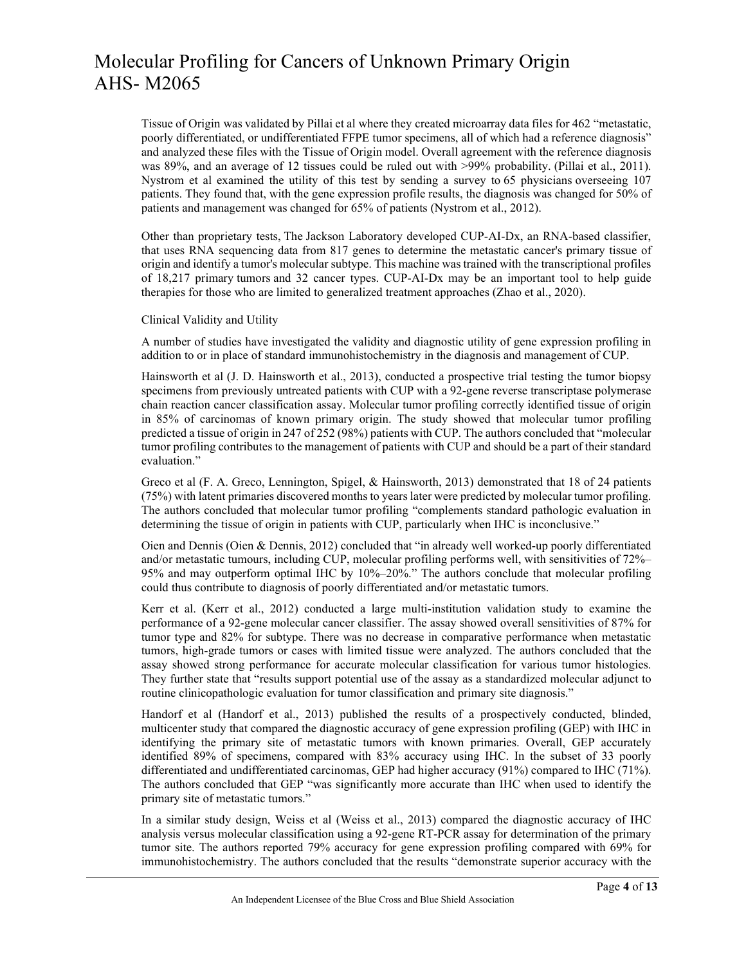Tissue of Origin was validated by Pillai et al where they created microarray data files for 462 "metastatic, poorly differentiated, or undifferentiated FFPE tumor specimens, all of which had a reference diagnosis" and analyzed these files with the Tissue of Origin model. Overall agreement with the reference diagnosis was 89%, and an average of 12 tissues could be ruled out with >99% probability. (Pillai et al., 2011). Nystrom et al examined the utility of this test by sending a survey to 65 physicians overseeing 107 patients. They found that, with the gene expression profile results, the diagnosis was changed for 50% of patients and management was changed for 65% of patients (Nystrom et al., 2012).

Other than proprietary tests, The Jackson Laboratory developed CUP-AI-Dx, an RNA-based classifier, that uses RNA sequencing data from 817 genes to determine the metastatic cancer's primary tissue of origin and identify a tumor's molecular subtype. This machine was trained with the transcriptional profiles of 18,217 primary tumors and 32 cancer types. CUP-AI-Dx may be an important tool to help guide therapies for those who are limited to generalized treatment approaches (Zhao et al., 2020).

#### Clinical Validity and Utility

A number of studies have investigated the validity and diagnostic utility of gene expression profiling in addition to or in place of standard immunohistochemistry in the diagnosis and management of CUP.

Hainsworth et al (J. D. Hainsworth et al., 2013), conducted a prospective trial testing the tumor biopsy specimens from previously untreated patients with CUP with a 92-gene reverse transcriptase polymerase chain reaction cancer classification assay. Molecular tumor profiling correctly identified tissue of origin in 85% of carcinomas of known primary origin. The study showed that molecular tumor profiling predicted a tissue of origin in 247 of 252 (98%) patients with CUP. The authors concluded that "molecular tumor profiling contributes to the management of patients with CUP and should be a part of their standard evaluation."

Greco et al (F. A. Greco, Lennington, Spigel, & Hainsworth, 2013) demonstrated that 18 of 24 patients (75%) with latent primaries discovered months to years later were predicted by molecular tumor profiling. The authors concluded that molecular tumor profiling "complements standard pathologic evaluation in determining the tissue of origin in patients with CUP, particularly when IHC is inconclusive."

Oien and Dennis (Oien & Dennis, 2012) concluded that "in already well worked-up poorly differentiated and/or metastatic tumours, including CUP, molecular profiling performs well, with sensitivities of 72%– 95% and may outperform optimal IHC by 10%–20%." The authors conclude that molecular profiling could thus contribute to diagnosis of poorly differentiated and/or metastatic tumors.

Kerr et al. (Kerr et al., 2012) conducted a large multi-institution validation study to examine the performance of a 92-gene molecular cancer classifier. The assay showed overall sensitivities of 87% for tumor type and 82% for subtype. There was no decrease in comparative performance when metastatic tumors, high-grade tumors or cases with limited tissue were analyzed. The authors concluded that the assay showed strong performance for accurate molecular classification for various tumor histologies. They further state that "results support potential use of the assay as a standardized molecular adjunct to routine clinicopathologic evaluation for tumor classification and primary site diagnosis."

Handorf et al (Handorf et al., 2013) published the results of a prospectively conducted, blinded, multicenter study that compared the diagnostic accuracy of gene expression profiling (GEP) with IHC in identifying the primary site of metastatic tumors with known primaries. Overall, GEP accurately identified 89% of specimens, compared with 83% accuracy using IHC. In the subset of 33 poorly differentiated and undifferentiated carcinomas, GEP had higher accuracy (91%) compared to IHC (71%). The authors concluded that GEP "was significantly more accurate than IHC when used to identify the primary site of metastatic tumors."

In a similar study design, Weiss et al (Weiss et al., 2013) compared the diagnostic accuracy of IHC analysis versus molecular classification using a 92-gene RT-PCR assay for determination of the primary tumor site. The authors reported 79% accuracy for gene expression profiling compared with 69% for immunohistochemistry. The authors concluded that the results "demonstrate superior accuracy with the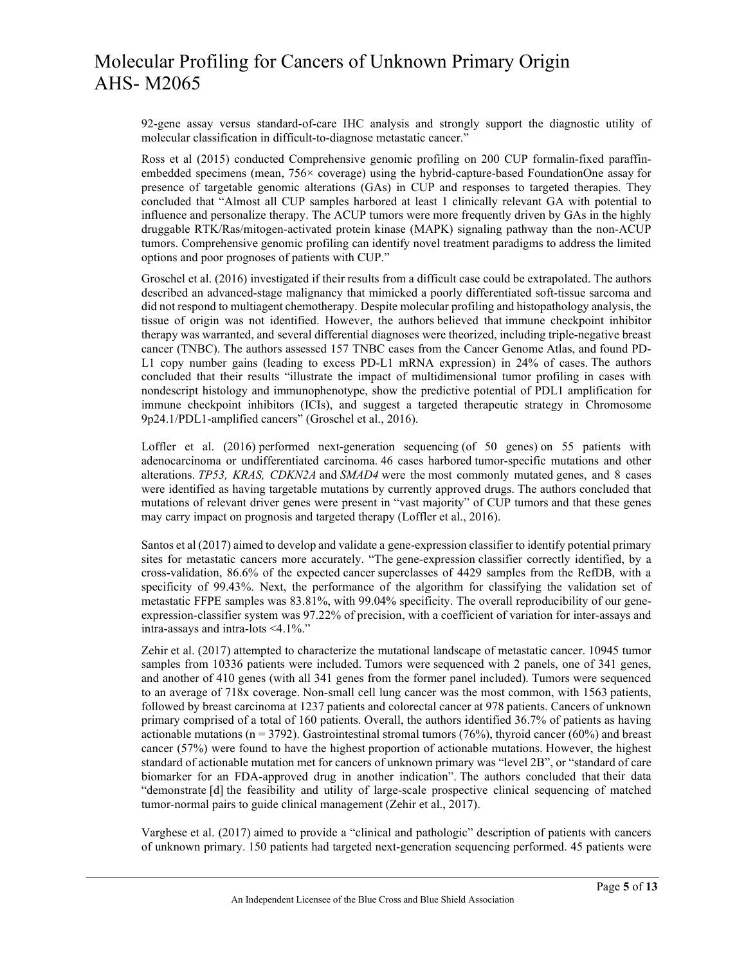92-gene assay versus standard-of-care IHC analysis and strongly support the diagnostic utility of molecular classification in difficult-to-diagnose metastatic cancer."

Ross et al (2015) conducted Comprehensive genomic profiling on 200 CUP formalin-fixed paraffinembedded specimens (mean, 756× coverage) using the hybrid-capture-based FoundationOne assay for presence of targetable genomic alterations (GAs) in CUP and responses to targeted therapies. They concluded that "Almost all CUP samples harbored at least 1 clinically relevant GA with potential to influence and personalize therapy. The ACUP tumors were more frequently driven by GAs in the highly druggable RTK/Ras/mitogen-activated protein kinase (MAPK) signaling pathway than the non-ACUP tumors. Comprehensive genomic profiling can identify novel treatment paradigms to address the limited options and poor prognoses of patients with CUP."

Groschel et al. (2016) investigated if their results from a difficult case could be extrapolated. The authors described an advanced-stage malignancy that mimicked a poorly differentiated soft-tissue sarcoma and did not respond to multiagent chemotherapy. Despite molecular profiling and histopathology analysis, the tissue of origin was not identified. However, the authors believed that immune checkpoint inhibitor therapy was warranted, and several differential diagnoses were theorized, including triple-negative breast cancer (TNBC). The authors assessed 157 TNBC cases from the Cancer Genome Atlas, and found PD-L1 copy number gains (leading to excess PD-L1 mRNA expression) in 24% of cases. The authors concluded that their results "illustrate the impact of multidimensional tumor profiling in cases with nondescript histology and immunophenotype, show the predictive potential of PDL1 amplification for immune checkpoint inhibitors (ICIs), and suggest a targeted therapeutic strategy in Chromosome 9p24.1/PDL1-amplified cancers" (Groschel et al., 2016).

Loffler et al. (2016) performed next-generation sequencing (of 50 genes) on 55 patients with adenocarcinoma or undifferentiated carcinoma. 46 cases harbored tumor-specific mutations and other alterations. *TP53, KRAS, CDKN2A* and *SMAD4* were the most commonly mutated genes, and 8 cases were identified as having targetable mutations by currently approved drugs. The authors concluded that mutations of relevant driver genes were present in "vast majority" of CUP tumors and that these genes may carry impact on prognosis and targeted therapy (Loffler et al., 2016).

Santos et al (2017) aimed to develop and validate a gene-expression classifier to identify potential primary sites for metastatic cancers more accurately. "The gene-expression classifier correctly identified, by a cross-validation, 86.6% of the expected cancer superclasses of 4429 samples from the RefDB, with a specificity of 99.43%. Next, the performance of the algorithm for classifying the validation set of metastatic FFPE samples was 83.81%, with 99.04% specificity. The overall reproducibility of our geneexpression-classifier system was 97.22% of precision, with a coefficient of variation for inter-assays and intra-assays and intra-lots <4.1%."

Zehir et al. (2017) attempted to characterize the mutational landscape of metastatic cancer. 10945 tumor samples from 10336 patients were included. Tumors were sequenced with 2 panels, one of 341 genes, and another of 410 genes (with all 341 genes from the former panel included). Tumors were sequenced to an average of 718x coverage. Non-small cell lung cancer was the most common, with 1563 patients, followed by breast carcinoma at 1237 patients and colorectal cancer at 978 patients. Cancers of unknown primary comprised of a total of 160 patients. Overall, the authors identified 36.7% of patients as having actionable mutations ( $n = 3792$ ). Gastrointestinal stromal tumors (76%), thyroid cancer (60%) and breast cancer (57%) were found to have the highest proportion of actionable mutations. However, the highest standard of actionable mutation met for cancers of unknown primary was "level 2B", or "standard of care biomarker for an FDA-approved drug in another indication". The authors concluded that their data "demonstrate [d] the feasibility and utility of large-scale prospective clinical sequencing of matched tumor-normal pairs to guide clinical management (Zehir et al., 2017).

Varghese et al. (2017) aimed to provide a "clinical and pathologic" description of patients with cancers of unknown primary. 150 patients had targeted next-generation sequencing performed. 45 patients were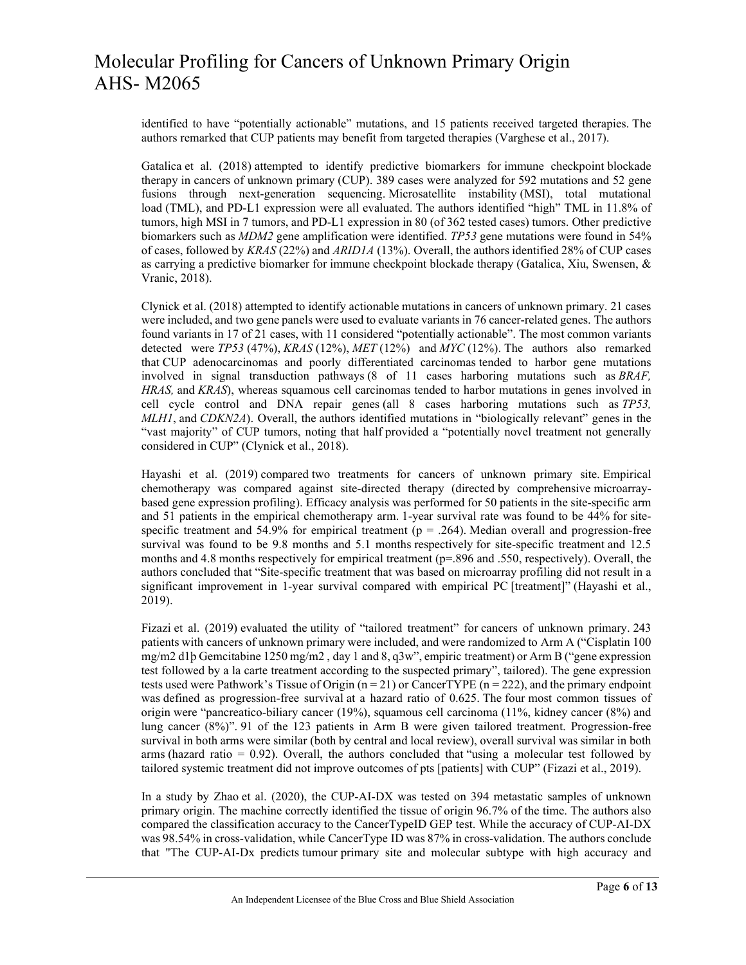identified to have "potentially actionable" mutations, and 15 patients received targeted therapies. The authors remarked that CUP patients may benefit from targeted therapies (Varghese et al., 2017).

Gatalica et al. (2018) attempted to identify predictive biomarkers for immune checkpoint blockade therapy in cancers of unknown primary (CUP). 389 cases were analyzed for 592 mutations and 52 gene fusions through next-generation sequencing. Microsatellite instability (MSI), total mutational load (TML), and PD-L1 expression were all evaluated. The authors identified "high" TML in 11.8% of tumors, high MSI in 7 tumors, and PD-L1 expression in 80 (of 362 tested cases) tumors. Other predictive biomarkers such as *MDM2* gene amplification were identified. *TP53* gene mutations were found in 54% of cases, followed by *KRAS* (22%) and *ARID1A* (13%). Overall, the authors identified 28% of CUP cases as carrying a predictive biomarker for immune checkpoint blockade therapy (Gatalica, Xiu, Swensen,  $\&$ Vranic, 2018).

Clynick et al. (2018) attempted to identify actionable mutations in cancers of unknown primary. 21 cases were included, and two gene panels were used to evaluate variants in 76 cancer-related genes. The authors found variants in 17 of 21 cases, with 11 considered "potentially actionable". The most common variants detected were *TP53* (47%), *KRAS* (12%), *MET* (12%) and *MYC* (12%). The authors also remarked that CUP adenocarcinomas and poorly differentiated carcinomas tended to harbor gene mutations involved in signal transduction pathways (8 of 11 cases harboring mutations such as *BRAF, HRAS,* and *KRAS*), whereas squamous cell carcinomas tended to harbor mutations in genes involved in cell cycle control and DNA repair genes (all 8 cases harboring mutations such as *TP53, MLH1*, and *CDKN2A*). Overall, the authors identified mutations in "biologically relevant" genes in the "vast majority" of CUP tumors, noting that half provided a "potentially novel treatment not generally considered in CUP" (Clynick et al., 2018).

Hayashi et al. (2019) compared two treatments for cancers of unknown primary site. Empirical chemotherapy was compared against site-directed therapy (directed by comprehensive microarraybased gene expression profiling). Efficacy analysis was performed for 50 patients in the site-specific arm and 51 patients in the empirical chemotherapy arm. 1-year survival rate was found to be 44% for sitespecific treatment and 54.9% for empirical treatment ( $p = .264$ ). Median overall and progression-free survival was found to be 9.8 months and 5.1 months respectively for site-specific treatment and 12.5 months and 4.8 months respectively for empirical treatment ( $p=0.896$  and .550, respectively). Overall, the authors concluded that "Site-specific treatment that was based on microarray profiling did not result in a significant improvement in 1-year survival compared with empirical PC [treatment]" (Hayashi et al., 2019).

Fizazi et al. (2019) evaluated the utility of "tailored treatment" for cancers of unknown primary. 243 patients with cancers of unknown primary were included, and were randomized to Arm A ("Cisplatin 100 mg/m2 d1þ Gemcitabine 1250 mg/m2 , day 1 and 8, q3w", empiric treatment) or Arm B ("gene expression test followed by a la carte treatment according to the suspected primary", tailored). The gene expression tests used were Pathwork's Tissue of Origin  $(n = 21)$  or CancerTYPE  $(n = 222)$ , and the primary endpoint was defined as progression-free survival at a hazard ratio of 0.625. The four most common tissues of origin were "pancreatico-biliary cancer (19%), squamous cell carcinoma (11%, kidney cancer (8%) and lung cancer (8%)". 91 of the 123 patients in Arm B were given tailored treatment. Progression-free survival in both arms were similar (both by central and local review), overall survival was similar in both arms (hazard ratio = 0.92). Overall, the authors concluded that "using a molecular test followed by tailored systemic treatment did not improve outcomes of pts [patients] with CUP" (Fizazi et al., 2019).

In a study by Zhao et al. (2020), the CUP-AI-DX was tested on 394 metastatic samples of unknown primary origin. The machine correctly identified the tissue of origin 96.7% of the time. The authors also compared the classification accuracy to the CancerTypeID GEP test. While the accuracy of CUP-AI-DX was 98.54% in cross-validation, while CancerType ID was 87% in cross-validation. The authors conclude that "The CUP-AI-Dx predicts tumour primary site and molecular subtype with high accuracy and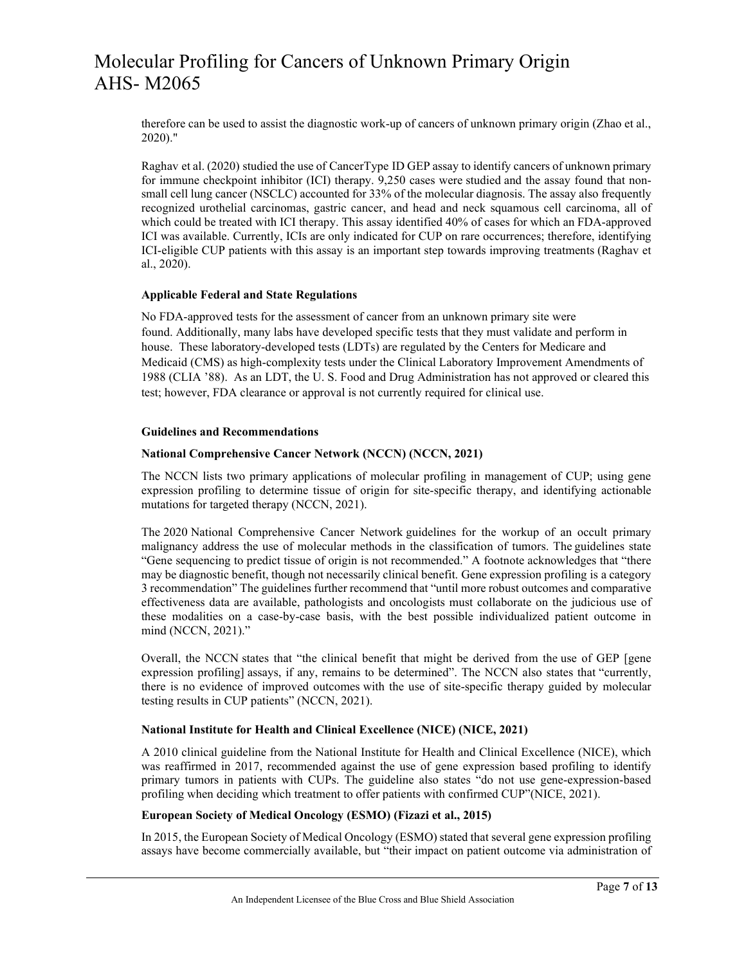therefore can be used to assist the diagnostic work-up of cancers of unknown primary origin (Zhao et al., 2020)."

Raghav et al. (2020) studied the use of CancerType ID GEP assay to identify cancers of unknown primary for immune checkpoint inhibitor (ICI) therapy. 9,250 cases were studied and the assay found that nonsmall cell lung cancer (NSCLC) accounted for 33% of the molecular diagnosis. The assay also frequently recognized urothelial carcinomas, gastric cancer, and head and neck squamous cell carcinoma, all of which could be treated with ICI therapy. This assay identified 40% of cases for which an FDA-approved ICI was available. Currently, ICIs are only indicated for CUP on rare occurrences; therefore, identifying ICI-eligible CUP patients with this assay is an important step towards improving treatments (Raghav et al., 2020).

#### **Applicable Federal and State Regulations**

No FDA-approved tests for the assessment of cancer from an unknown primary site were found. Additionally, many labs have developed specific tests that they must validate and perform in house. These laboratory-developed tests (LDTs) are regulated by the Centers for Medicare and Medicaid (CMS) as high-complexity tests under the Clinical Laboratory Improvement Amendments of 1988 (CLIA '88). As an LDT, the U. S. Food and Drug Administration has not approved or cleared this test; however, FDA clearance or approval is not currently required for clinical use.

#### **Guidelines and Recommendations**

#### **National Comprehensive Cancer Network (NCCN) (NCCN, 2021)**

The NCCN lists two primary applications of molecular profiling in management of CUP; using gene expression profiling to determine tissue of origin for site-specific therapy, and identifying actionable mutations for targeted therapy (NCCN, 2021).

The 2020 National Comprehensive Cancer Network guidelines for the workup of an occult primary malignancy address the use of molecular methods in the classification of tumors. The guidelines state "Gene sequencing to predict tissue of origin is not recommended." A footnote acknowledges that "there may be diagnostic benefit, though not necessarily clinical benefit. Gene expression profiling is a category 3 recommendation" The guidelines further recommend that "until more robust outcomes and comparative effectiveness data are available, pathologists and oncologists must collaborate on the judicious use of these modalities on a case-by-case basis, with the best possible individualized patient outcome in mind (NCCN, 2021)."

Overall, the NCCN states that "the clinical benefit that might be derived from the use of GEP [gene expression profiling] assays, if any, remains to be determined". The NCCN also states that "currently, there is no evidence of improved outcomes with the use of site-specific therapy guided by molecular testing results in CUP patients" (NCCN, 2021).

#### **National Institute for Health and Clinical Excellence (NICE) (NICE, 2021)**

A 2010 clinical guideline from the National Institute for Health and Clinical Excellence (NICE), which was reaffirmed in 2017, recommended against the use of gene expression based profiling to identify primary tumors in patients with CUPs. The guideline also states "do not use gene-expression-based profiling when deciding which treatment to offer patients with confirmed CUP"(NICE, 2021).

#### **European Society of Medical Oncology (ESMO) (Fizazi et al., 2015)**

In 2015, the European Society of Medical Oncology (ESMO) stated that several gene expression profiling assays have become commercially available, but "their impact on patient outcome via administration of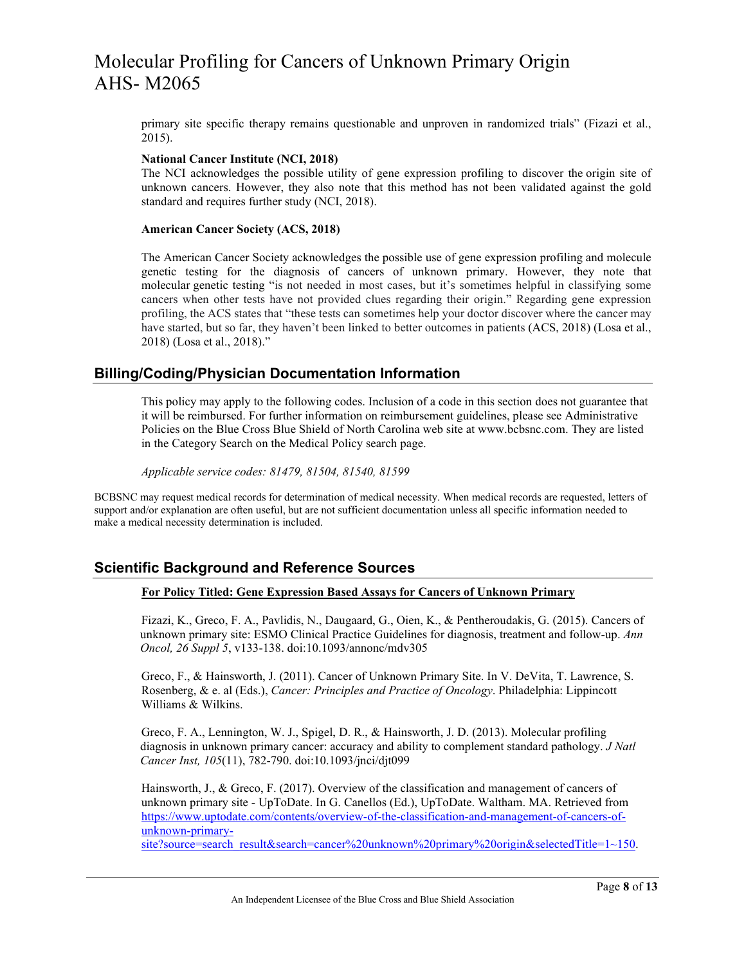primary site specific therapy remains questionable and unproven in randomized trials" (Fizazi et al., 2015).

#### **National Cancer Institute (NCI, 2018)**

The NCI acknowledges the possible utility of gene expression profiling to discover the origin site of unknown cancers. However, they also note that this method has not been validated against the gold standard and requires further study (NCI, 2018).

#### **American Cancer Society (ACS, 2018)**

The American Cancer Society acknowledges the possible use of gene expression profiling and molecule genetic testing for the diagnosis of cancers of unknown primary. However, they note that molecular genetic testing "is not needed in most cases, but it's sometimes helpful in classifying some cancers when other tests have not provided clues regarding their origin." Regarding gene expression profiling, the ACS states that "these tests can sometimes help your doctor discover where the cancer may have started, but so far, they haven't been linked to better outcomes in patients (ACS, 2018) (Losa et al., 2018) (Losa et al., 2018)."

### **Billing/Coding/Physician Documentation Information**

This policy may apply to the following codes. Inclusion of a code in this section does not guarantee that it will be reimbursed. For further information on reimbursement guidelines, please see Administrative Policies on the Blue Cross Blue Shield of North Carolina web site at www.bcbsnc.com. They are listed in the Category Search on the Medical Policy search page.

*Applicable service codes: 81479, 81504, 81540, 81599*

BCBSNC may request medical records for determination of medical necessity. When medical records are requested, letters of support and/or explanation are often useful, but are not sufficient documentation unless all specific information needed to make a medical necessity determination is included.

### **Scientific Background and Reference Sources**

#### **For Policy Titled: Gene Expression Based Assays for Cancers of Unknown Primary**

Fizazi, K., Greco, F. A., Pavlidis, N., Daugaard, G., Oien, K., & Pentheroudakis, G. (2015). Cancers of unknown primary site: ESMO Clinical Practice Guidelines for diagnosis, treatment and follow-up. *Ann Oncol, 26 Suppl 5*, v133-138. doi:10.1093/annonc/mdv305

Greco, F., & Hainsworth, J. (2011). Cancer of Unknown Primary Site. In V. DeVita, T. Lawrence, S. Rosenberg, & e. al (Eds.), *Cancer: Principles and Practice of Oncology*. Philadelphia: Lippincott Williams & Wilkins.

Greco, F. A., Lennington, W. J., Spigel, D. R., & Hainsworth, J. D. (2013). Molecular profiling diagnosis in unknown primary cancer: accuracy and ability to complement standard pathology. *J Natl Cancer Inst, 105*(11), 782-790. doi:10.1093/jnci/djt099

Hainsworth, J., & Greco, F. (2017). Overview of the classification and management of cancers of unknown primary site - UpToDate. In G. Canellos (Ed.), UpToDate. Waltham. MA. Retrieved from [https://www.uptodate.com/contents/overview-of-the-classification-and-management-of-cancers-of](https://www.uptodate.com/contents/overview-of-the-classification-and-management-of-cancers-of-unknown-primary-site?source=search_result&search=cancer%20unknown%20primary%20origin&selectedTitle=1%7E150)[unknown-primary-](https://www.uptodate.com/contents/overview-of-the-classification-and-management-of-cancers-of-unknown-primary-site?source=search_result&search=cancer%20unknown%20primary%20origin&selectedTitle=1%7E150)

[site?source=search\\_result&search=cancer%20unknown%20primary%20origin&selectedTitle=1~150.](https://www.uptodate.com/contents/overview-of-the-classification-and-management-of-cancers-of-unknown-primary-site?source=search_result&search=cancer%20unknown%20primary%20origin&selectedTitle=1%7E150)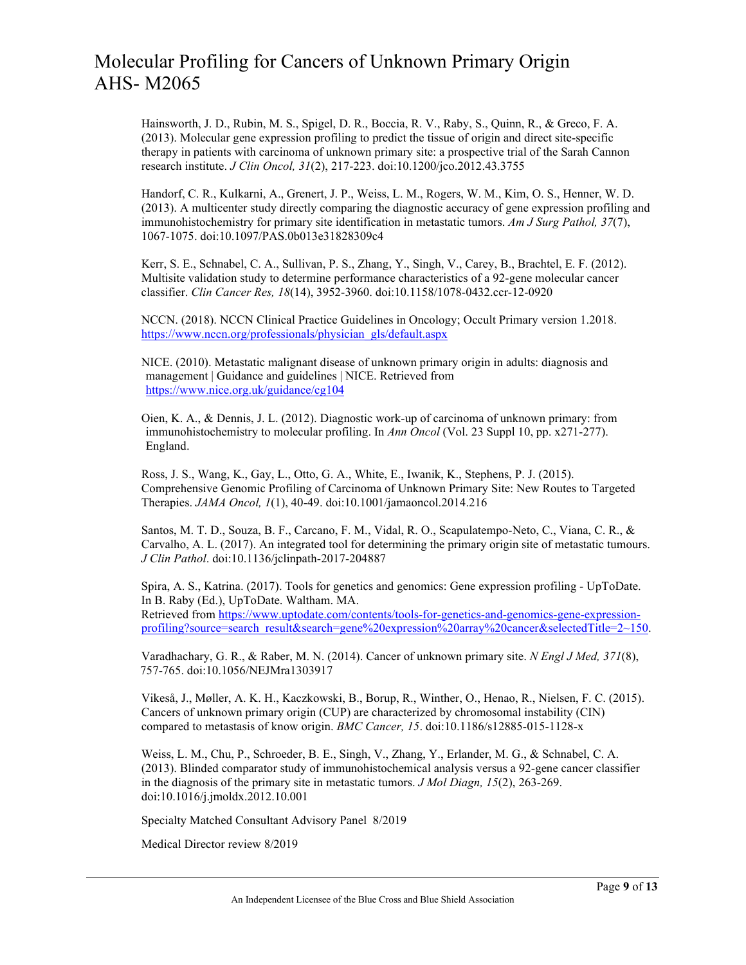Hainsworth, J. D., Rubin, M. S., Spigel, D. R., Boccia, R. V., Raby, S., Quinn, R., & Greco, F. A. (2013). Molecular gene expression profiling to predict the tissue of origin and direct site-specific therapy in patients with carcinoma of unknown primary site: a prospective trial of the Sarah Cannon research institute. *J Clin Oncol, 31*(2), 217-223. doi:10.1200/jco.2012.43.3755

Handorf, C. R., Kulkarni, A., Grenert, J. P., Weiss, L. M., Rogers, W. M., Kim, O. S., Henner, W. D. (2013). A multicenter study directly comparing the diagnostic accuracy of gene expression profiling and immunohistochemistry for primary site identification in metastatic tumors. *Am J Surg Pathol, 37*(7), 1067-1075. doi:10.1097/PAS.0b013e31828309c4

Kerr, S. E., Schnabel, C. A., Sullivan, P. S., Zhang, Y., Singh, V., Carey, B., Brachtel, E. F. (2012). Multisite validation study to determine performance characteristics of a 92-gene molecular cancer classifier. *Clin Cancer Res, 18*(14), 3952-3960. doi:10.1158/1078-0432.ccr-12-0920

NCCN. (2018). NCCN Clinical Practice Guidelines in Oncology; Occult Primary version 1.2018. https://www.nccn.org/professionals/physician\_gls/default.aspx

NICE. (2010). Metastatic malignant disease of unknown primary origin in adults: diagnosis and management | Guidance and guidelines | NICE. Retrieved from <https://www.nice.org.uk/guidance/cg104>

Oien, K. A., & Dennis, J. L. (2012). Diagnostic work-up of carcinoma of unknown primary: from immunohistochemistry to molecular profiling. In *Ann Oncol* (Vol. 23 Suppl 10, pp. x271-277). England.

Ross, J. S., Wang, K., Gay, L., Otto, G. A., White, E., Iwanik, K., Stephens, P. J. (2015). Comprehensive Genomic Profiling of Carcinoma of Unknown Primary Site: New Routes to Targeted Therapies. *JAMA Oncol, 1*(1), 40-49. doi:10.1001/jamaoncol.2014.216

Santos, M. T. D., Souza, B. F., Carcano, F. M., Vidal, R. O., Scapulatempo-Neto, C., Viana, C. R., & Carvalho, A. L. (2017). An integrated tool for determining the primary origin site of metastatic tumours. *J Clin Pathol*. doi:10.1136/jclinpath-2017-204887

Spira, A. S., Katrina. (2017). Tools for genetics and genomics: Gene expression profiling - UpToDate. In B. Raby (Ed.), UpToDate. Waltham. MA. Retrieved from [https://www.uptodate.com/contents/tools-for-genetics-and-genomics-gene-expression](https://www.uptodate.com/contents/tools-for-genetics-and-genomics-gene-expression-profiling?source=search_result&search=gene%20expression%20array%20cancer&selectedTitle=2%7E150)[profiling?source=search\\_result&search=gene%20expression%20array%20cancer&selectedTitle=2~150.](https://www.uptodate.com/contents/tools-for-genetics-and-genomics-gene-expression-profiling?source=search_result&search=gene%20expression%20array%20cancer&selectedTitle=2%7E150)

Varadhachary, G. R., & Raber, M. N. (2014). Cancer of unknown primary site. *N Engl J Med, 371*(8), 757-765. doi:10.1056/NEJMra1303917

Vikeså, J., Møller, A. K. H., Kaczkowski, B., Borup, R., Winther, O., Henao, R., Nielsen, F. C. (2015). Cancers of unknown primary origin (CUP) are characterized by chromosomal instability (CIN) compared to metastasis of know origin. *BMC Cancer, 15*. doi:10.1186/s12885-015-1128-x

Weiss, L. M., Chu, P., Schroeder, B. E., Singh, V., Zhang, Y., Erlander, M. G., & Schnabel, C. A. (2013). Blinded comparator study of immunohistochemical analysis versus a 92-gene cancer classifier in the diagnosis of the primary site in metastatic tumors. *J Mol Diagn, 15*(2), 263-269. doi:10.1016/j.jmoldx.2012.10.001

Specialty Matched Consultant Advisory Panel 8/2019

Medical Director review 8/2019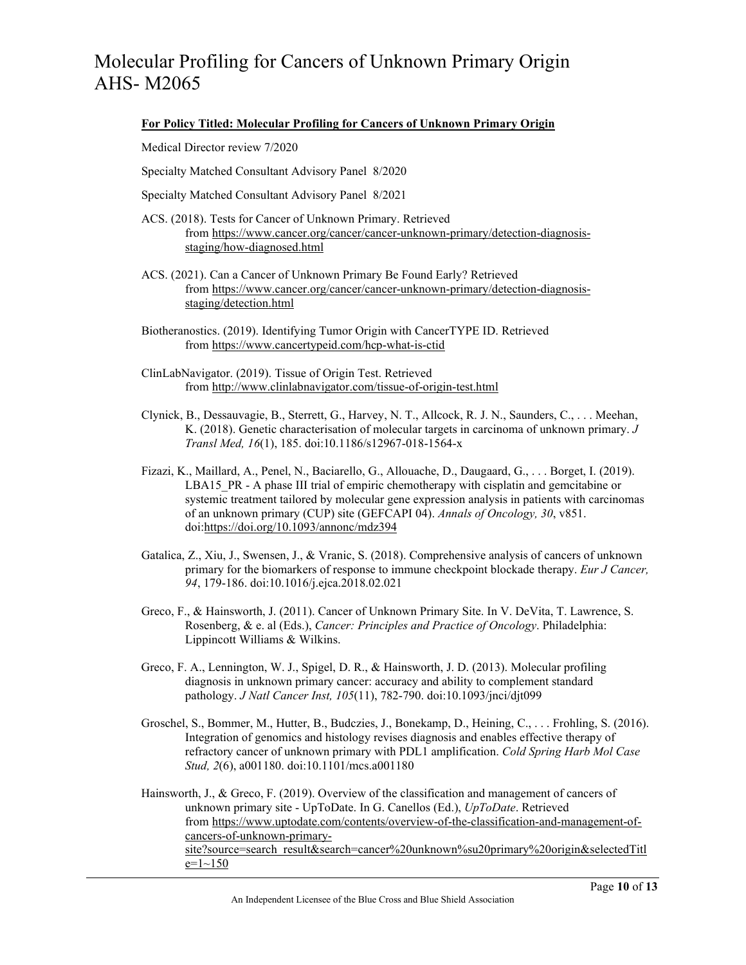#### **For Policy Titled: Molecular Profiling for Cancers of Unknown Primary Origin**

Medical Director review 7/2020

Specialty Matched Consultant Advisory Panel 8/2020

Specialty Matched Consultant Advisory Panel 8/2021

- ACS. (2018). Tests for Cancer of Unknown Primary. Retrieved from [https://www.cancer.org/cancer/cancer-unknown-primary/detection-diagnosis](https://www.cancer.org/cancer/cancer-unknown-primary/detection-diagnosis-staging/how-diagnosed.html)[staging/how-diagnosed.html](https://www.cancer.org/cancer/cancer-unknown-primary/detection-diagnosis-staging/how-diagnosed.html)
- ACS. (2021). Can a Cancer of Unknown Primary Be Found Early? Retrieved from [https://www.cancer.org/cancer/cancer-unknown-primary/detection-diagnosis](https://www.cancer.org/cancer/cancer-unknown-primary/detection-diagnosis-staging/detection.html)[staging/detection.html](https://www.cancer.org/cancer/cancer-unknown-primary/detection-diagnosis-staging/detection.html)

Biotheranostics. (2019). Identifying Tumor Origin with CancerTYPE ID. Retrieved from <https://www.cancertypeid.com/hcp-what-is-ctid>

- ClinLabNavigator. (2019). Tissue of Origin Test. Retrieved from <http://www.clinlabnavigator.com/tissue-of-origin-test.html>
- Clynick, B., Dessauvagie, B., Sterrett, G., Harvey, N. T., Allcock, R. J. N., Saunders, C., . . . Meehan, K. (2018). Genetic characterisation of molecular targets in carcinoma of unknown primary. *J Transl Med, 16*(1), 185. doi:10.1186/s12967-018-1564-x

Fizazi, K., Maillard, A., Penel, N., Baciarello, G., Allouache, D., Daugaard, G., . . . Borget, I. (2019). LBA15, PR - A phase III trial of empiric chemotherapy with cisplatin and gemcitabine or systemic treatment tailored by molecular gene expression analysis in patients with carcinomas of an unknown primary (CUP) site (GEFCAPI 04). *Annals of Oncology, 30*, v851. doi[:https://doi.org/10.1093/annonc/mdz394](https://doi.org/10.1093/annonc/mdz394)

- Gatalica, Z., Xiu, J., Swensen, J., & Vranic, S. (2018). Comprehensive analysis of cancers of unknown primary for the biomarkers of response to immune checkpoint blockade therapy. *Eur J Cancer, 94*, 179-186. doi:10.1016/j.ejca.2018.02.021
- Greco, F., & Hainsworth, J. (2011). Cancer of Unknown Primary Site. In V. DeVita, T. Lawrence, S. Rosenberg, & e. al (Eds.), *Cancer: Principles and Practice of Oncology*. Philadelphia: Lippincott Williams & Wilkins.
- Greco, F. A., Lennington, W. J., Spigel, D. R., & Hainsworth, J. D. (2013). Molecular profiling diagnosis in unknown primary cancer: accuracy and ability to complement standard pathology. *J Natl Cancer Inst, 105*(11), 782-790. doi:10.1093/jnci/djt099
- Groschel, S., Bommer, M., Hutter, B., Budczies, J., Bonekamp, D., Heining, C., . . . Frohling, S. (2016). Integration of genomics and histology revises diagnosis and enables effective therapy of refractory cancer of unknown primary with PDL1 amplification. *Cold Spring Harb Mol Case Stud, 2*(6), a001180. doi:10.1101/mcs.a001180

Hainsworth, J., & Greco, F. (2019). Overview of the classification and management of cancers of unknown primary site - UpToDate. In G. Canellos (Ed.), *UpToDate*. Retrieved from [https://www.uptodate.com/contents/overview-of-the-classification-and-management-of](https://www.uptodate.com/contents/overview-of-the-classification-and-management-of-cancers-of-unknown-primary-site?source=search_result&search=cancer%20unknown%25su20primary%20origin&selectedTitle=1%7E150)[cancers-of-unknown-primary](https://www.uptodate.com/contents/overview-of-the-classification-and-management-of-cancers-of-unknown-primary-site?source=search_result&search=cancer%20unknown%25su20primary%20origin&selectedTitle=1%7E150)[site?source=search\\_result&search=cancer%20unknown%su20primary%20origin&selectedTitl](https://www.uptodate.com/contents/overview-of-the-classification-and-management-of-cancers-of-unknown-primary-site?source=search_result&search=cancer%20unknown%25su20primary%20origin&selectedTitle=1%7E150)  $e=1$ ~150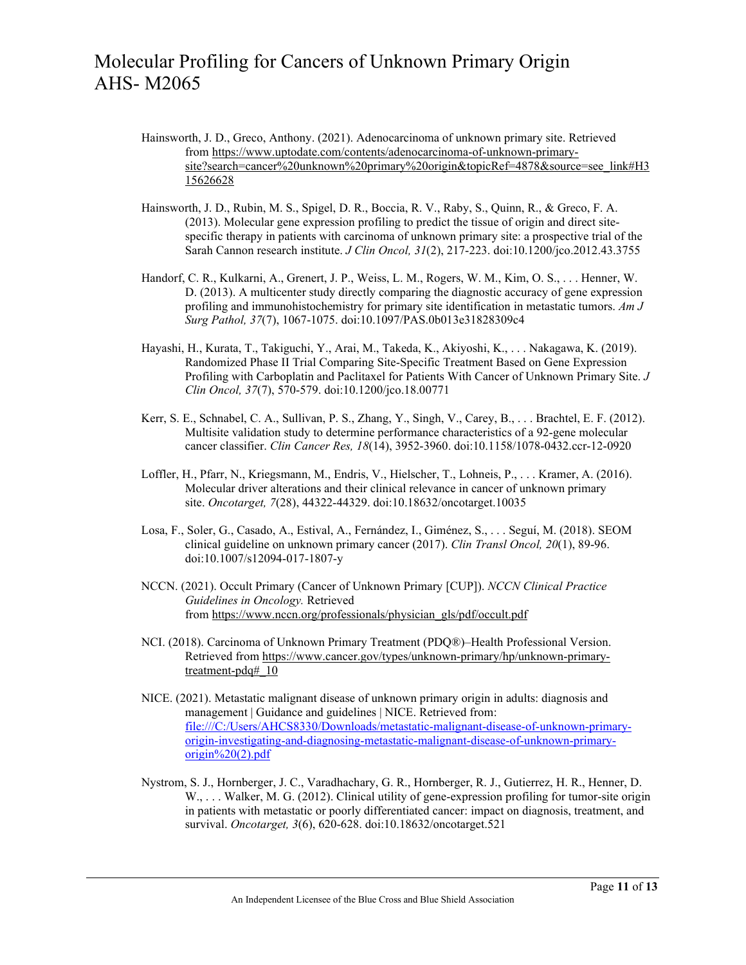- Hainsworth, J. D., Greco, Anthony. (2021). Adenocarcinoma of unknown primary site. Retrieved from [https://www.uptodate.com/contents/adenocarcinoma-of-unknown-primary](https://www.uptodate.com/contents/adenocarcinoma-of-unknown-primary-site?search=cancer%20unknown%20primary%20origin&topicRef=4878&source=see_link#H315626628)[site?search=cancer%20unknown%20primary%20origin&topicRef=4878&source=see\\_link#H3](https://www.uptodate.com/contents/adenocarcinoma-of-unknown-primary-site?search=cancer%20unknown%20primary%20origin&topicRef=4878&source=see_link#H315626628) [15626628](https://www.uptodate.com/contents/adenocarcinoma-of-unknown-primary-site?search=cancer%20unknown%20primary%20origin&topicRef=4878&source=see_link#H315626628)
- Hainsworth, J. D., Rubin, M. S., Spigel, D. R., Boccia, R. V., Raby, S., Quinn, R., & Greco, F. A. (2013). Molecular gene expression profiling to predict the tissue of origin and direct sitespecific therapy in patients with carcinoma of unknown primary site: a prospective trial of the Sarah Cannon research institute. *J Clin Oncol, 31*(2), 217-223. doi:10.1200/jco.2012.43.3755
- Handorf, C. R., Kulkarni, A., Grenert, J. P., Weiss, L. M., Rogers, W. M., Kim, O. S., . . . Henner, W. D. (2013). A multicenter study directly comparing the diagnostic accuracy of gene expression profiling and immunohistochemistry for primary site identification in metastatic tumors. *Am J Surg Pathol, 37*(7), 1067-1075. doi:10.1097/PAS.0b013e31828309c4
- Hayashi, H., Kurata, T., Takiguchi, Y., Arai, M., Takeda, K., Akiyoshi, K., . . . Nakagawa, K. (2019). Randomized Phase II Trial Comparing Site-Specific Treatment Based on Gene Expression Profiling with Carboplatin and Paclitaxel for Patients With Cancer of Unknown Primary Site. *J Clin Oncol, 37*(7), 570-579. doi:10.1200/jco.18.00771
- Kerr, S. E., Schnabel, C. A., Sullivan, P. S., Zhang, Y., Singh, V., Carey, B., . . . Brachtel, E. F. (2012). Multisite validation study to determine performance characteristics of a 92-gene molecular cancer classifier. *Clin Cancer Res, 18*(14), 3952-3960. doi:10.1158/1078-0432.ccr-12-0920
- Loffler, H., Pfarr, N., Kriegsmann, M., Endris, V., Hielscher, T., Lohneis, P., . . . Kramer, A. (2016). Molecular driver alterations and their clinical relevance in cancer of unknown primary site. *Oncotarget, 7*(28), 44322-44329. doi:10.18632/oncotarget.10035
- Losa, F., Soler, G., Casado, A., Estival, A., Fernández, I., Giménez, S., . . . Seguí, M. (2018). SEOM clinical guideline on unknown primary cancer (2017). *Clin Transl Oncol, 20*(1), 89-96. doi:10.1007/s12094-017-1807-y
- NCCN. (2021). Occult Primary (Cancer of Unknown Primary [CUP]). *NCCN Clinical Practice Guidelines in Oncology.* Retrieved from [https://www.nccn.org/professionals/physician\\_gls/pdf/occult.pdf](https://www.nccn.org/professionals/physician_gls/pdf/occult.pdf)
- NCI. (2018). Carcinoma of Unknown Primary Treatment (PDQ®)–Health Professional Version. Retrieved from [https://www.cancer.gov/types/unknown-primary/hp/unknown-primary](https://www.cancer.gov/types/unknown-primary/hp/unknown-primary-treatment-pdq#_10)[treatment-pdq#\\_10](https://www.cancer.gov/types/unknown-primary/hp/unknown-primary-treatment-pdq#_10)
- NICE. (2021). Metastatic malignant disease of unknown primary origin in adults: diagnosis and management | Guidance and guidelines | NICE. Retrieved from: file:///C:/Users/AHCS8330/Downloads/metastatic-malignant-disease-of-unknown-primaryorigin-investigating-and-diagnosing-metastatic-malignant-disease-of-unknown-primaryorigin%20(2).pdf
- Nystrom, S. J., Hornberger, J. C., Varadhachary, G. R., Hornberger, R. J., Gutierrez, H. R., Henner, D. W., . . . Walker, M. G. (2012). Clinical utility of gene-expression profiling for tumor-site origin in patients with metastatic or poorly differentiated cancer: impact on diagnosis, treatment, and survival. *Oncotarget, 3*(6), 620-628. doi:10.18632/oncotarget.521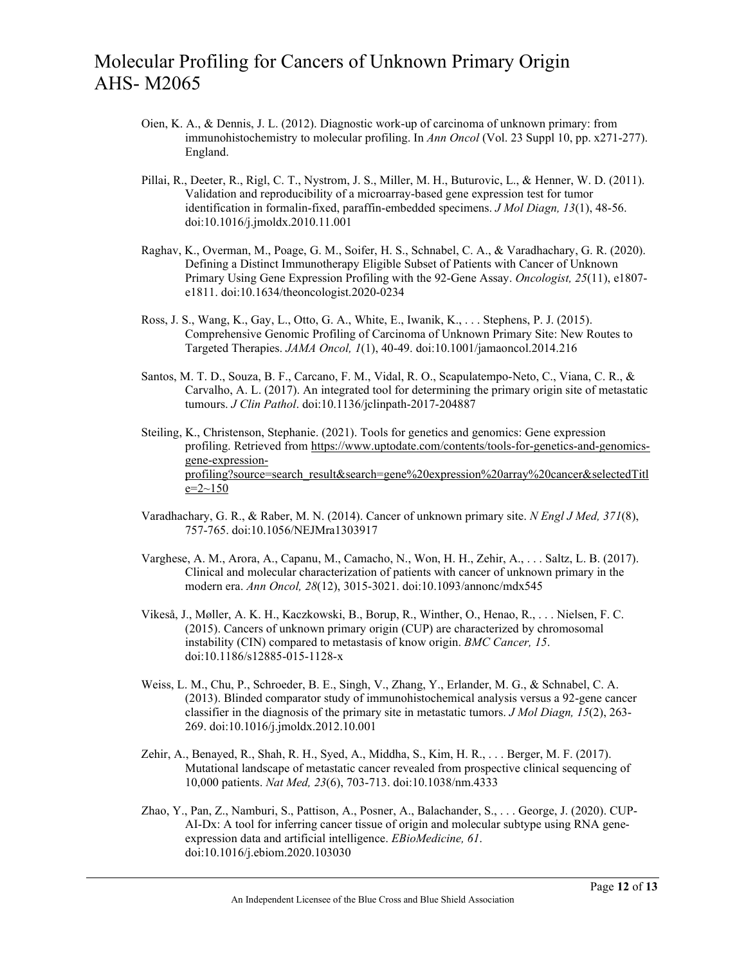- Oien, K. A., & Dennis, J. L. (2012). Diagnostic work-up of carcinoma of unknown primary: from immunohistochemistry to molecular profiling. In *Ann Oncol* (Vol. 23 Suppl 10, pp. x271-277). England.
- Pillai, R., Deeter, R., Rigl, C. T., Nystrom, J. S., Miller, M. H., Buturovic, L., & Henner, W. D. (2011). Validation and reproducibility of a microarray-based gene expression test for tumor identification in formalin-fixed, paraffin-embedded specimens. *J Mol Diagn, 13*(1), 48-56. doi:10.1016/j.jmoldx.2010.11.001
- Raghav, K., Overman, M., Poage, G. M., Soifer, H. S., Schnabel, C. A., & Varadhachary, G. R. (2020). Defining a Distinct Immunotherapy Eligible Subset of Patients with Cancer of Unknown Primary Using Gene Expression Profiling with the 92-Gene Assay. *Oncologist, 25*(11), e1807 e1811. doi:10.1634/theoncologist.2020-0234
- Ross, J. S., Wang, K., Gay, L., Otto, G. A., White, E., Iwanik, K., . . . Stephens, P. J. (2015). Comprehensive Genomic Profiling of Carcinoma of Unknown Primary Site: New Routes to Targeted Therapies. *JAMA Oncol, 1*(1), 40-49. doi:10.1001/jamaoncol.2014.216
- Santos, M. T. D., Souza, B. F., Carcano, F. M., Vidal, R. O., Scapulatempo-Neto, C., Viana, C. R., & Carvalho, A. L. (2017). An integrated tool for determining the primary origin site of metastatic tumours. *J Clin Pathol*. doi:10.1136/jclinpath-2017-204887
- Steiling, K., Christenson, Stephanie. (2021). Tools for genetics and genomics: Gene expression profiling. Retrieved from [https://www.uptodate.com/contents/tools-for-genetics-and-genomics](https://www.uptodate.com/contents/tools-for-genetics-and-genomics-gene-expression-profiling?source=search_result&search=gene%20expression%20array%20cancer&selectedTitle=2%7E150)[gene-expression](https://www.uptodate.com/contents/tools-for-genetics-and-genomics-gene-expression-profiling?source=search_result&search=gene%20expression%20array%20cancer&selectedTitle=2%7E150)[profiling?source=search\\_result&search=gene%20expression%20array%20cancer&selectedTitl](https://www.uptodate.com/contents/tools-for-genetics-and-genomics-gene-expression-profiling?source=search_result&search=gene%20expression%20array%20cancer&selectedTitle=2%7E150)  $e=2.150$
- Varadhachary, G. R., & Raber, M. N. (2014). Cancer of unknown primary site. *N Engl J Med, 371*(8), 757-765. doi:10.1056/NEJMra1303917
- Varghese, A. M., Arora, A., Capanu, M., Camacho, N., Won, H. H., Zehir, A., . . . Saltz, L. B. (2017). Clinical and molecular characterization of patients with cancer of unknown primary in the modern era. *Ann Oncol, 28*(12), 3015-3021. doi:10.1093/annonc/mdx545
- Vikeså, J., Møller, A. K. H., Kaczkowski, B., Borup, R., Winther, O., Henao, R., . . . Nielsen, F. C. (2015). Cancers of unknown primary origin (CUP) are characterized by chromosomal instability (CIN) compared to metastasis of know origin. *BMC Cancer, 15*. doi:10.1186/s12885-015-1128-x
- Weiss, L. M., Chu, P., Schroeder, B. E., Singh, V., Zhang, Y., Erlander, M. G., & Schnabel, C. A. (2013). Blinded comparator study of immunohistochemical analysis versus a 92-gene cancer classifier in the diagnosis of the primary site in metastatic tumors. *J Mol Diagn, 15*(2), 263- 269. doi:10.1016/j.jmoldx.2012.10.001
- Zehir, A., Benayed, R., Shah, R. H., Syed, A., Middha, S., Kim, H. R., . . . Berger, M. F. (2017). Mutational landscape of metastatic cancer revealed from prospective clinical sequencing of 10,000 patients. *Nat Med, 23*(6), 703-713. doi:10.1038/nm.4333
- Zhao, Y., Pan, Z., Namburi, S., Pattison, A., Posner, A., Balachander, S., . . . George, J. (2020). CUP-AI-Dx: A tool for inferring cancer tissue of origin and molecular subtype using RNA geneexpression data and artificial intelligence. *EBioMedicine, 61*. doi:10.1016/j.ebiom.2020.103030